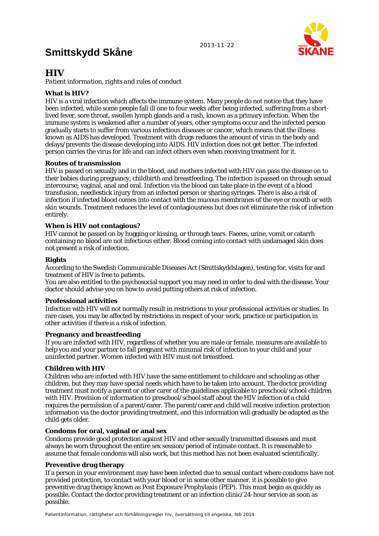# **Smittskydd Skåne**



# **HIV**

*Patient information, rights and rules of conduct* 

### **What is HIV?**

HIV is a viral infection which affects the immune system. Many people do not notice that they have been infected, while some people fall ill one to four weeks after being infected, suffering from a shortlived fever, sore throat, swollen lymph glands and a rash, known as a primary infection. When the immune system is weakened after a number of years, other symptoms occur and the infected person gradually starts to suffer from various infectious diseases or cancer, which means that the illness known as AIDS has developed. Treatment with drugs reduces the amount of virus in the body and delays/prevents the disease developing into AIDS. HIV infection does not get better. The infected person carries the virus for life and can infect others even when receiving treatment for it.

#### **Routes of transmission**

HIV is passed on sexually and in the blood, and mothers infected with HIV can pass the disease on to their babies during pregnancy, childbirth and breastfeeding. The infection is passed on through sexual intercourse; vaginal, anal and oral. Infection via the blood can take place in the event of a blood transfusion, needlestick injury from an infected person or sharing syringes. There is also a risk of infection if infected blood comes into contact with the mucous membranes of the eye or mouth or with skin wounds. Treatment reduces the level of contagiousness but does not eliminate the risk of infection entirely.

#### **When is HIV not contagious?**

HIV cannot be passed on by hugging or kissing, or through tears. Faeces, urine, vomit or catarrh containing no blood are not infectious either. Blood coming into contact with undamaged skin does not present a risk of infection.

#### **Rights**

According to the Swedish Communicable Diseases Act (Smittskyddslagen), testing for, visits for and treatment of HIV is free to patients.

You are also entitled to the psychosocial support you may need in order to deal with the disease. Your doctor should advise you on how to avoid putting others at risk of infection.

#### **Professional activities**

Infection with HIV will not normally result in restrictions to your professional activities or studies. In rare cases, you may be affected by restrictions in respect of your work, practice or participation in other activities if there is a risk of infection.

#### **Pregnancy and breastfeeding**

If you are infected with HIV, regardless of whether you are male or female, measures are available to help you and your partner to fall pregnant with minimal risk of infection to your child and your uninfected partner. Women infected with HIV must not breastfeed.

#### **Children with HIV**

Children who are infected with HIV have the same entitlement to childcare and schooling as other children, but they may have special needs which have to be taken into account. The doctor providing treatment must notify a parent or other carer of the guidelines applicable to preschool/school children with HIV. Provision of information to preschool/school staff about the HIV infection of a child requires the permission of a parent/carer. The parent/carer and child will receive infection protection information via the doctor providing treatment, and this information will gradually be adapted as the child gets older.

#### **Condoms for oral, vaginal or anal sex**

Condoms provide good protection against HIV and other sexually transmitted diseases and must always be worn throughout the entire sex session/period of intimate contact. It is reasonable to assume that female condoms will also work, but this method has not been evaluated scientifically.

#### **Preventive drug therapy**

If a person in your environment may have been infected due to sexual contact where condoms have not provided protection, to contact with your blood or in some other manner, it is possible to give preventive drug therapy known as Post Exposure Prophylaxis (PEP). This must begin as quickly as possible. Contact the doctor providing treatment or an infection clinic/24-hour service as soon as possible.